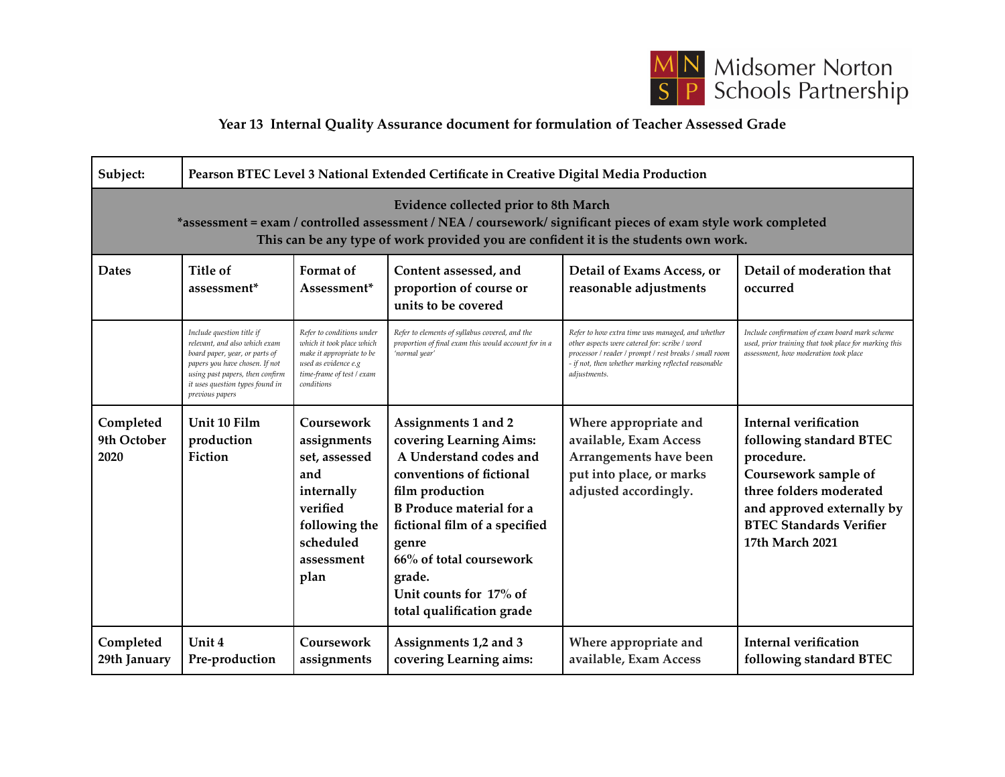

## **Year 13 Internal Quality Assurance document for formulation of Teacher Assessed Grade**

| Subject:                                                                                                                                                                                                                                        | Pearson BTEC Level 3 National Extended Certificate in Creative Digital Media Production                                                                                                                                 |                                                                                                                                                        |                                                                                                                                                                                                                                                                                                  |                                                                                                                                                                                                                                    |                                                                                                                                                                                                             |
|-------------------------------------------------------------------------------------------------------------------------------------------------------------------------------------------------------------------------------------------------|-------------------------------------------------------------------------------------------------------------------------------------------------------------------------------------------------------------------------|--------------------------------------------------------------------------------------------------------------------------------------------------------|--------------------------------------------------------------------------------------------------------------------------------------------------------------------------------------------------------------------------------------------------------------------------------------------------|------------------------------------------------------------------------------------------------------------------------------------------------------------------------------------------------------------------------------------|-------------------------------------------------------------------------------------------------------------------------------------------------------------------------------------------------------------|
| Evidence collected prior to 8th March<br>*assessment = exam / controlled assessment / NEA / coursework/ significant pieces of exam style work completed<br>This can be any type of work provided you are confident it is the students own work. |                                                                                                                                                                                                                         |                                                                                                                                                        |                                                                                                                                                                                                                                                                                                  |                                                                                                                                                                                                                                    |                                                                                                                                                                                                             |
| <b>Dates</b>                                                                                                                                                                                                                                    | Title of<br>assessment <sup>*</sup>                                                                                                                                                                                     | Format of<br>Assessment*                                                                                                                               | Content assessed, and<br>proportion of course or<br>units to be covered                                                                                                                                                                                                                          | Detail of Exams Access, or<br>reasonable adjustments                                                                                                                                                                               | Detail of moderation that<br>occurred                                                                                                                                                                       |
|                                                                                                                                                                                                                                                 | Include question title if<br>relevant, and also which exam<br>board paper, year, or parts of<br>papers you have chosen. If not<br>using past papers, then confirm<br>it uses question types found in<br>previous papers | Refer to conditions under<br>which it took place which<br>make it appropriate to be<br>used as evidence e.g<br>time-frame of test / exam<br>conditions | Refer to elements of syllabus covered, and the<br>proportion of final exam this would account for in a<br>'normal year'                                                                                                                                                                          | Refer to how extra time was managed, and whether<br>other aspects were catered for: scribe / word<br>processor / reader / prompt / rest breaks / small room<br>- if not, then whether marking reflected reasonable<br>adjustments. | Include confirmation of exam board mark scheme<br>used, prior training that took place for marking this<br>assessment, how moderation took place                                                            |
| Completed<br>9th October<br>2020                                                                                                                                                                                                                | Unit 10 Film<br>production<br>Fiction                                                                                                                                                                                   | Coursework<br>assignments<br>set, assessed<br>and<br>internally<br>verified<br>following the<br>scheduled<br>assessment<br>plan                        | Assignments 1 and 2<br>covering Learning Aims:<br>A Understand codes and<br>conventions of fictional<br>film production<br><b>B</b> Produce material for a<br>fictional film of a specified<br>genre<br>66% of total coursework<br>grade.<br>Unit counts for 17% of<br>total qualification grade | Where appropriate and<br>available, Exam Access<br>Arrangements have been<br>put into place, or marks<br>adjusted accordingly.                                                                                                     | <b>Internal verification</b><br>following standard BTEC<br>procedure.<br>Coursework sample of<br>three folders moderated<br>and approved externally by<br><b>BTEC Standards Verifier</b><br>17th March 2021 |
| Completed<br>29th January                                                                                                                                                                                                                       | Unit 4<br>Pre-production                                                                                                                                                                                                | Coursework<br>assignments                                                                                                                              | Assignments 1,2 and 3<br>covering Learning aims:                                                                                                                                                                                                                                                 | Where appropriate and<br>available, Exam Access                                                                                                                                                                                    | <b>Internal verification</b><br>following standard BTEC                                                                                                                                                     |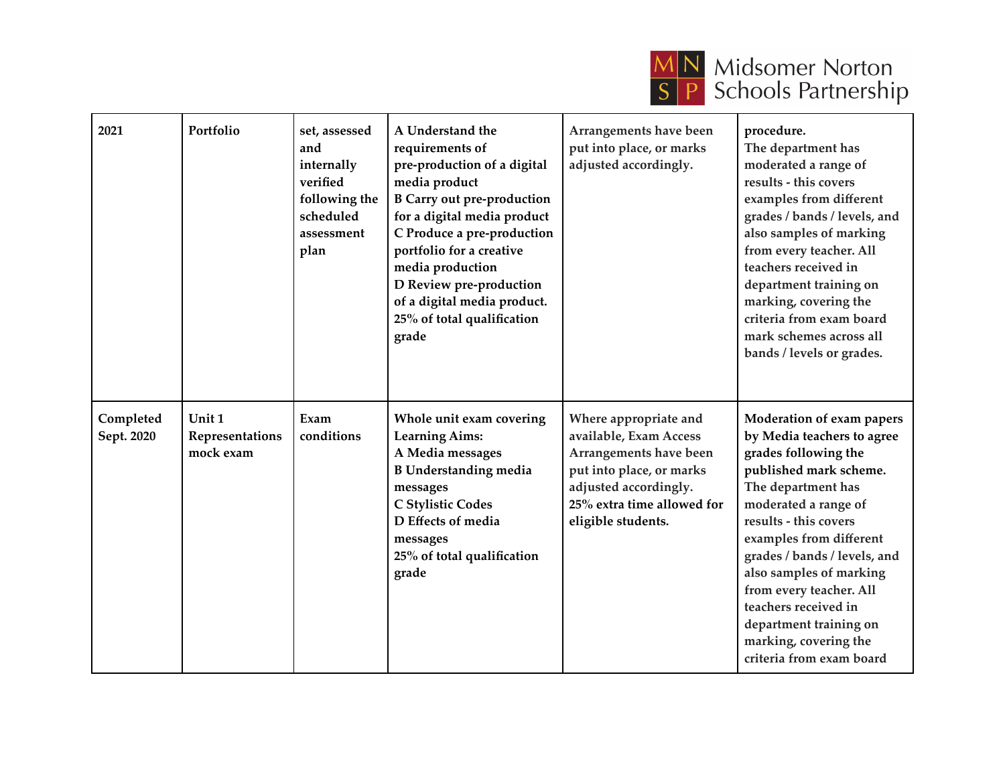

| 2021                    | Portfolio                              | set, assessed<br>and<br>internally<br>verified<br>following the<br>scheduled<br>assessment<br>plan | A Understand the<br>requirements of<br>pre-production of a digital<br>media product<br><b>B Carry out pre-production</b><br>for a digital media product<br>C Produce a pre-production<br>portfolio for a creative<br>media production<br>D Review pre-production<br>of a digital media product.<br>25% of total qualification<br>grade | Arrangements have been<br>put into place, or marks<br>adjusted accordingly.                                                                                                        | procedure.<br>The department has<br>moderated a range of<br>results - this covers<br>examples from different<br>grades / bands / levels, and<br>also samples of marking<br>from every teacher. All<br>teachers received in<br>department training on<br>marking, covering the<br>criteria from exam board<br>mark schemes across all<br>bands / levels or grades.                                        |
|-------------------------|----------------------------------------|----------------------------------------------------------------------------------------------------|----------------------------------------------------------------------------------------------------------------------------------------------------------------------------------------------------------------------------------------------------------------------------------------------------------------------------------------|------------------------------------------------------------------------------------------------------------------------------------------------------------------------------------|----------------------------------------------------------------------------------------------------------------------------------------------------------------------------------------------------------------------------------------------------------------------------------------------------------------------------------------------------------------------------------------------------------|
| Completed<br>Sept. 2020 | Unit 1<br>Representations<br>mock exam | Exam<br>conditions                                                                                 | Whole unit exam covering<br><b>Learning Aims:</b><br>A Media messages<br><b>B</b> Understanding media<br>messages<br>C Stylistic Codes<br>D Effects of media<br>messages<br>25% of total qualification<br>grade                                                                                                                        | Where appropriate and<br>available, Exam Access<br>Arrangements have been<br>put into place, or marks<br>adjusted accordingly.<br>25% extra time allowed for<br>eligible students. | Moderation of exam papers<br>by Media teachers to agree<br>grades following the<br>published mark scheme.<br>The department has<br>moderated a range of<br>results - this covers<br>examples from different<br>grades / bands / levels, and<br>also samples of marking<br>from every teacher. All<br>teachers received in<br>department training on<br>marking, covering the<br>criteria from exam board |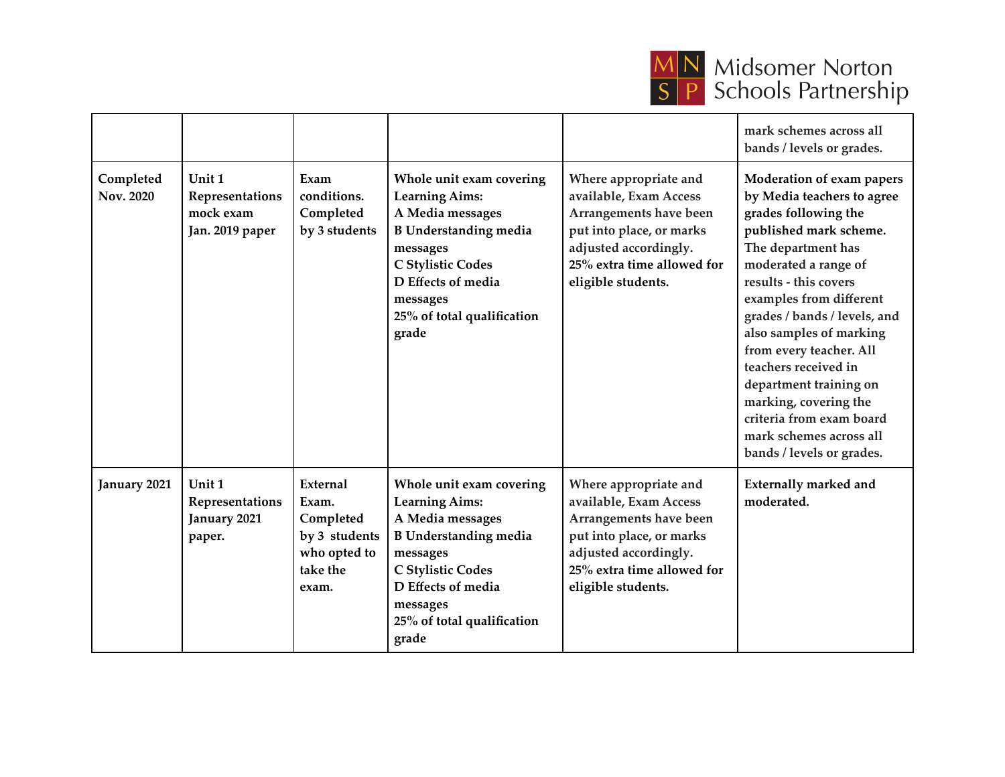

## **MN** Midsomer Norton<br>
S P Schools Partnership

|                        |                                                           |                                                                                      |                                                                                                                                                                                                                        |                                                                                                                                                                                    | mark schemes across all<br>bands / levels or grades.                                                                                                                                                                                                                                                                                                                                                                                                             |
|------------------------|-----------------------------------------------------------|--------------------------------------------------------------------------------------|------------------------------------------------------------------------------------------------------------------------------------------------------------------------------------------------------------------------|------------------------------------------------------------------------------------------------------------------------------------------------------------------------------------|------------------------------------------------------------------------------------------------------------------------------------------------------------------------------------------------------------------------------------------------------------------------------------------------------------------------------------------------------------------------------------------------------------------------------------------------------------------|
| Completed<br>Nov. 2020 | Unit 1<br>Representations<br>mock exam<br>Jan. 2019 paper | Exam<br>conditions.<br>Completed<br>by 3 students                                    | Whole unit exam covering<br><b>Learning Aims:</b><br>A Media messages<br><b>B</b> Understanding media<br>messages<br>C Stylistic Codes<br>D Effects of media<br>messages<br>25% of total qualification<br>grade        | Where appropriate and<br>available, Exam Access<br>Arrangements have been<br>put into place, or marks<br>adjusted accordingly.<br>25% extra time allowed for<br>eligible students. | Moderation of exam papers<br>by Media teachers to agree<br>grades following the<br>published mark scheme.<br>The department has<br>moderated a range of<br>results - this covers<br>examples from different<br>grades / bands / levels, and<br>also samples of marking<br>from every teacher. All<br>teachers received in<br>department training on<br>marking, covering the<br>criteria from exam board<br>mark schemes across all<br>bands / levels or grades. |
| January 2021           | Unit 1<br>Representations<br>January 2021<br>paper.       | External<br>Exam.<br>Completed<br>by 3 students<br>who opted to<br>take the<br>exam. | Whole unit exam covering<br><b>Learning Aims:</b><br>A Media messages<br><b>B</b> Understanding media<br>messages<br><b>C Stylistic Codes</b><br>D Effects of media<br>messages<br>25% of total qualification<br>grade | Where appropriate and<br>available, Exam Access<br>Arrangements have been<br>put into place, or marks<br>adjusted accordingly.<br>25% extra time allowed for<br>eligible students. | <b>Externally marked and</b><br>moderated.                                                                                                                                                                                                                                                                                                                                                                                                                       |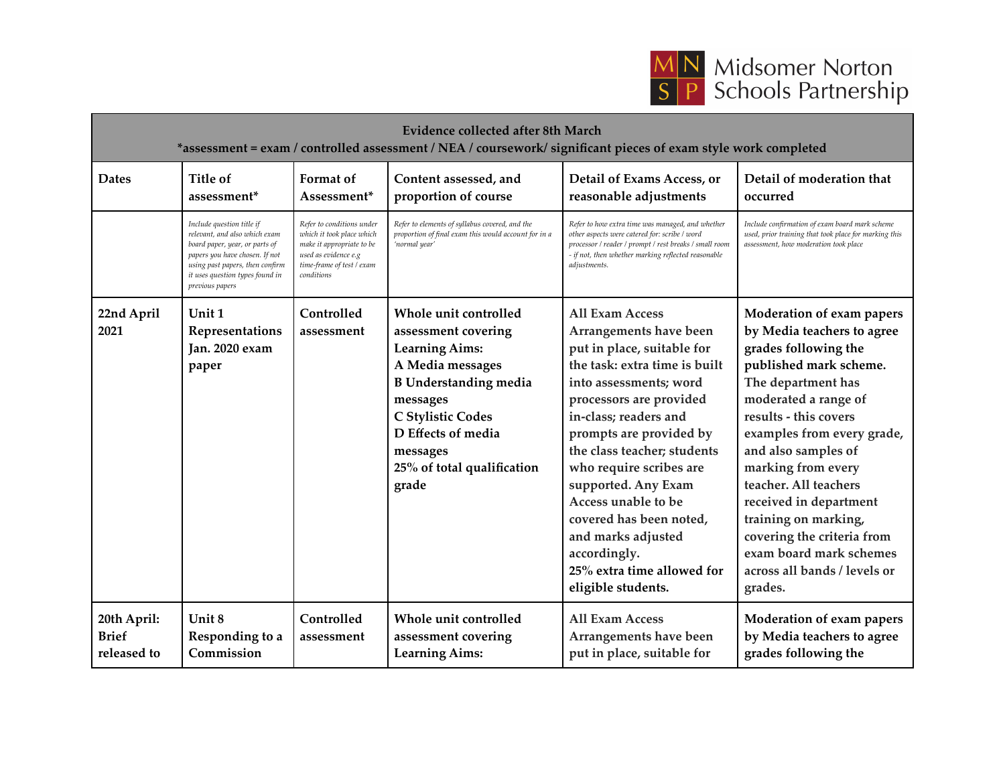

| <b>Evidence collected after 8th March</b><br>*assessment = exam / controlled assessment / NEA / coursework/ significant pieces of exam style work completed |                                                                                                                                                                                                                         |                                                                                                                                                        |                                                                                                                                                                                                                                     |                                                                                                                                                                                                                                                                                                                                                                                                                                                       |                                                                                                                                                                                                                                                                                                                                                                                                                                            |
|-------------------------------------------------------------------------------------------------------------------------------------------------------------|-------------------------------------------------------------------------------------------------------------------------------------------------------------------------------------------------------------------------|--------------------------------------------------------------------------------------------------------------------------------------------------------|-------------------------------------------------------------------------------------------------------------------------------------------------------------------------------------------------------------------------------------|-------------------------------------------------------------------------------------------------------------------------------------------------------------------------------------------------------------------------------------------------------------------------------------------------------------------------------------------------------------------------------------------------------------------------------------------------------|--------------------------------------------------------------------------------------------------------------------------------------------------------------------------------------------------------------------------------------------------------------------------------------------------------------------------------------------------------------------------------------------------------------------------------------------|
| <b>Dates</b>                                                                                                                                                | Title of<br>assessment*                                                                                                                                                                                                 | Format of<br>Assessment*                                                                                                                               | Content assessed, and<br>proportion of course                                                                                                                                                                                       | Detail of Exams Access, or<br>reasonable adjustments                                                                                                                                                                                                                                                                                                                                                                                                  | Detail of moderation that<br>occurred                                                                                                                                                                                                                                                                                                                                                                                                      |
|                                                                                                                                                             | Include question title if<br>relevant, and also which exam<br>board paper, year, or parts of<br>papers you have chosen. If not<br>using past papers, then confirm<br>it uses question types found in<br>previous papers | Refer to conditions under<br>which it took place which<br>make it appropriate to be<br>used as evidence e.g<br>time-frame of test / exam<br>conditions | Refer to elements of syllabus covered, and the<br>proportion of final exam this would account for in a<br>'normal year'                                                                                                             | Refer to how extra time was managed, and whether<br>other aspects were catered for: scribe / word<br>processor / reader / prompt / rest breaks / small room<br>- if not, then whether marking reflected reasonable<br>adjustments.                                                                                                                                                                                                                    | Include confirmation of exam board mark scheme<br>used, prior training that took place for marking this<br>assessment, how moderation took place                                                                                                                                                                                                                                                                                           |
| 22nd April<br>2021                                                                                                                                          | Unit 1<br>Representations<br>Jan. 2020 exam<br>paper                                                                                                                                                                    | Controlled<br>assessment                                                                                                                               | Whole unit controlled<br>assessment covering<br><b>Learning Aims:</b><br>A Media messages<br><b>B</b> Understanding media<br>messages<br>C Stylistic Codes<br>D Effects of media<br>messages<br>25% of total qualification<br>grade | <b>All Exam Access</b><br>Arrangements have been<br>put in place, suitable for<br>the task: extra time is built<br>into assessments; word<br>processors are provided<br>in-class; readers and<br>prompts are provided by<br>the class teacher; students<br>who require scribes are<br>supported. Any Exam<br>Access unable to be<br>covered has been noted,<br>and marks adjusted<br>accordingly.<br>25% extra time allowed for<br>eligible students. | Moderation of exam papers<br>by Media teachers to agree<br>grades following the<br>published mark scheme.<br>The department has<br>moderated a range of<br>results - this covers<br>examples from every grade,<br>and also samples of<br>marking from every<br>teacher. All teachers<br>received in department<br>training on marking,<br>covering the criteria from<br>exam board mark schemes<br>across all bands / levels or<br>grades. |
| 20th April:<br><b>Brief</b><br>released to                                                                                                                  | Unit 8<br>Responding to a<br>Commission                                                                                                                                                                                 | Controlled<br>assessment                                                                                                                               | Whole unit controlled<br>assessment covering<br><b>Learning Aims:</b>                                                                                                                                                               | <b>All Exam Access</b><br>Arrangements have been<br>put in place, suitable for                                                                                                                                                                                                                                                                                                                                                                        | Moderation of exam papers<br>by Media teachers to agree<br>grades following the                                                                                                                                                                                                                                                                                                                                                            |